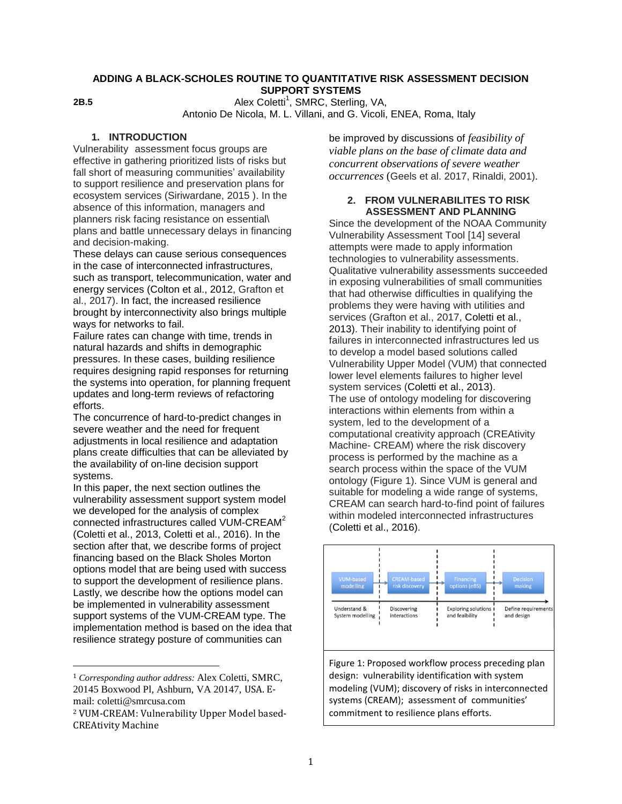#### **ADDING A BLACK-SCHOLES ROUTINE TO QUANTITATIVE RISK ASSESSMENT DECISION SUPPORT SYSTEMS**

**2B.5**

Alex Coletti<sup>1</sup>, SMRC, Sterling, VA, Antonio De Nicola, M. L. Villani, and G. Vicoli, ENEA, Roma, Italy

# **1. INTRODUCTION**

Vulnerability assessment focus groups are effective in gathering prioritized lists of risks but fall short of measuring communities' availability to support resilience and preservation plans for ecosystem services (Siriwardane, 2015 ). In the absence of this information, managers and planners risk facing resistance on essential\ plans and battle unnecessary delays in financing and decision-making.

These delays can cause serious consequences in the case of interconnected infrastructures, such as transport, telecommunication, water and energy services (Colton et al., 2012, Grafton et al., 2017). In fact, the increased resilience brought by interconnectivity also brings multiple ways for networks to fail.

Failure rates can change with time, trends in natural hazards and shifts in demographic pressures. In these cases, building resilience requires designing rapid responses for returning the systems into operation, for planning frequent updates and long-term reviews of refactoring efforts.

The concurrence of hard-to-predict changes in severe weather and the need for frequent adjustments in local resilience and adaptation plans create difficulties that can be alleviated by the availability of on-line decision support systems.

In this paper, the next section outlines the vulnerability assessment support system model we developed for the analysis of complex connected infrastructures called VUM-CREAM<sup>2</sup> (Coletti et al., 2013, Coletti et al., 2016). In the section after that, we describe forms of project financing based on the Black Sholes Morton options model that are being used with success to support the development of resilience plans. Lastly, we describe how the options model can be implemented in vulnerability assessment support systems of the VUM-CREAM type. The implementation method is based on the idea that resilience strategy posture of communities can

l

be improved by discussions of *feasibility of viable plans on the base of climate data and concurrent observations of severe weather occurrences* (Geels et al. 2017, Rinaldi, 2001).

## **2. FROM VULNERABILITES TO RISK ASSESSMENT AND PLANNING**

Since the development of the NOAA Community Vulnerability Assessment Tool [14] several attempts were made to apply information technologies to vulnerability assessments. Qualitative vulnerability assessments succeeded in exposing vulnerabilities of small communities that had otherwise difficulties in qualifying the problems they were having with utilities and services (Grafton et al., 2017, Coletti et al., 2013). Their inability to identifying point of failures in interconnected infrastructures led us to develop a model based solutions called Vulnerability Upper Model (VUM) that connected lower level elements failures to higher level system services (Coletti et al., 2013). The use of ontology modeling for discovering interactions within elements from within a system, led to the development of a computational creativity approach (CREAtivity Machine- CREAM) where the risk discovery process is performed by the machine as a search process within the space of the VUM ontology [\(Figure 1\)](#page-0-0). Since VUM is general and suitable for modeling a wide range of systems, CREAM can search hard-to-find point of failures within modeled interconnected infrastructures (Coletti et al., 2016).



<span id="page-0-0"></span>Figure 1: Proposed workflow process preceding plan design: vulnerability identification with system modeling (VUM); discovery of risks in interconnected systems (CREAM); assessment of communities' commitment to resilience plans efforts.

<sup>1</sup> *Corresponding author address:* Alex Coletti, SMRC, 20145 Boxwood Pl, Ashburn, VA 20147, USA. Email: coletti@smrcusa.com

<sup>2</sup> VUM-CREAM: Vulnerability Upper Model based-CREAtivity Machine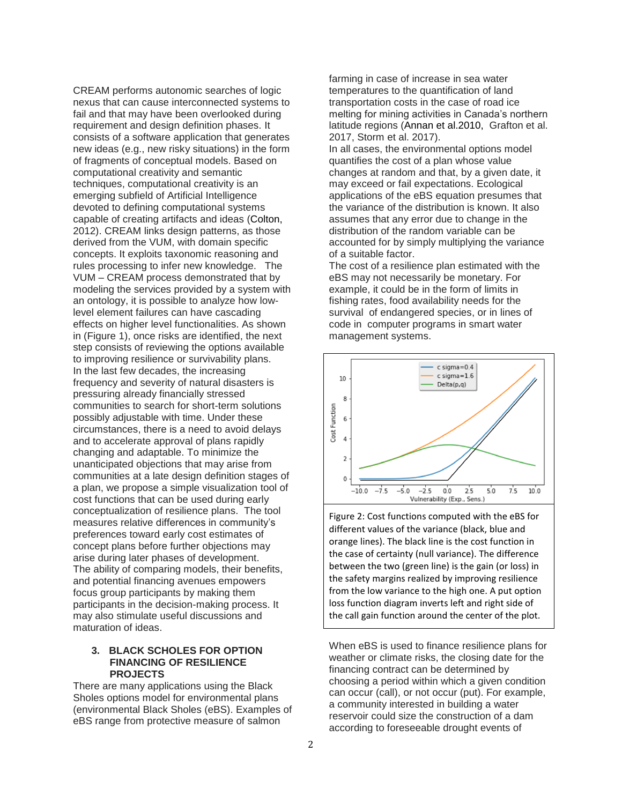CREAM performs autonomic searches of logic nexus that can cause interconnected systems to fail and that may have been overlooked during requirement and design definition phases. It consists of a software application that generates new ideas (e.g., new risky situations) in the form of fragments of conceptual models. Based on computational creativity and semantic techniques, computational creativity is an emerging subfield of Artificial Intelligence devoted to defining computational systems capable of creating artifacts and ideas (Colton, 2012). CREAM links design patterns, as those derived from the VUM, with domain specific concepts. It exploits taxonomic reasoning and rules processing to infer new knowledge. The VUM – CREAM process demonstrated that by modeling the services provided by a system with an ontology, it is possible to analyze how lowlevel element failures can have cascading effects on higher level functionalities. As shown in [\(Figure 1\)](#page-0-0), once risks are identified, the next step consists of reviewing the options available to improving resilience or survivability plans. In the last few decades, the increasing frequency and severity of natural disasters is pressuring already financially stressed communities to search for short-term solutions possibly adjustable with time. Under these circumstances, there is a need to avoid delays and to accelerate approval of plans rapidly changing and adaptable. To minimize the unanticipated objections that may arise from communities at a late design definition stages of a plan, we propose a simple visualization tool of cost functions that can be used during early conceptualization of resilience plans. The tool measures relative differences in community's preferences toward early cost estimates of concept plans before further objections may arise during later phases of development. The ability of comparing models, their benefits, and potential financing avenues empowers focus group participants by making them participants in the decision-making process. It may also stimulate useful discussions and maturation of ideas.

## **3. BLACK SCHOLES FOR OPTION FINANCING OF RESILIENCE PROJECTS**

There are many applications using the Black Sholes options model for environmental plans (environmental Black Sholes (eBS). Examples of eBS range from protective measure of salmon

farming in case of increase in sea water temperatures to the quantification of land transportation costs in the case of road ice melting for mining activities in Canada's northern latitude regions (Annan et al.2010, Grafton et al. 2017, Storm et al. 2017).

In all cases, the environmental options model quantifies the cost of a plan whose value changes at random and that, by a given date, it may exceed or fail expectations. Ecological applications of the eBS equation presumes that the variance of the distribution is known. It also assumes that any error due to change in the distribution of the random variable can be accounted for by simply multiplying the variance of a suitable factor.

The cost of a resilience plan estimated with the eBS may not necessarily be monetary. For example, it could be in the form of limits in fishing rates, food availability needs for the survival of endangered species, or in lines of code in computer programs in smart water management systems.



<span id="page-1-0"></span>Figure 2: Cost functions computed with the eBS for different values of the variance (black, blue and orange lines). The black line is the cost function in the case of certainty (null variance). The difference between the two (green line) is the gain (or loss) in the safety margins realized by improving resilience from the low variance to the high one. A put option loss function diagram inverts left and right side of the call gain function around the center of the plot.

When eBS is used to finance resilience plans for weather or climate risks, the closing date for the financing contract can be determined by choosing a period within which a given condition can occur (call), or not occur (put). For example, a community interested in building a water reservoir could size the construction of a dam according to foreseeable drought events of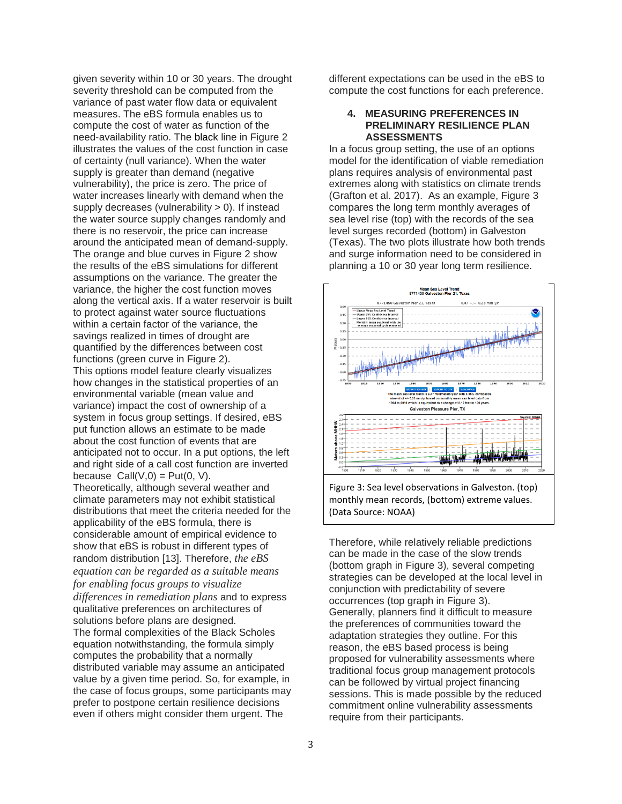given severity within 10 or 30 years. The drought severity threshold can be computed from the variance of past water flow data or equivalent measures. The eBS formula enables us to compute the cost of water as function of the need-availability ratio. The black line in [Figure 2](#page-1-0) illustrates the values of the cost function in case of certainty (null variance). When the water supply is greater than demand (negative vulnerability), the price is zero. The price of water increases linearly with demand when the supply decreases (vulnerability  $> 0$ ). If instead the water source supply changes randomly and there is no reservoir, the price can increase around the anticipated mean of demand-supply. The orange and blue curves in [Figure 2](#page-1-0) show the results of the eBS simulations for different assumptions on the variance. The greater the variance, the higher the cost function moves along the vertical axis. If a water reservoir is built to protect against water source fluctuations within a certain factor of the variance, the savings realized in times of drought are quantified by the differences between cost functions (green curve in [Figure 2\)](#page-1-0). This options model feature clearly visualizes how changes in the statistical properties of an environmental variable (mean value and variance) impact the cost of ownership of a system in focus group settings. If desired, eBS put function allows an estimate to be made about the cost function of events that are anticipated not to occur. In a put options, the left and right side of a call cost function are inverted because  $Call(V,0) = Put(0, V)$ . Theoretically, although several weather and climate parameters may not exhibit statistical distributions that meet the criteria needed for the applicability of the eBS formula, there is considerable amount of empirical evidence to show that eBS is robust in different types of random distribution [13]. Therefore, *the eBS equation can be regarded as a suitable means for enabling focus groups to visualize differences in remediation plans* and to express qualitative preferences on architectures of solutions before plans are designed. The formal complexities of the Black Scholes equation notwithstanding, the formula simply computes the probability that a normally distributed variable may assume an anticipated value by a given time period. So, for example, in the case of focus groups, some participants may prefer to postpone certain resilience decisions even if others might consider them urgent. The

different expectations can be used in the eBS to compute the cost functions for each preference.

## **4. MEASURING PREFERENCES IN PRELIMINARY RESILIENCE PLAN ASSESSMENTS**

In a focus group setting, the use of an options model for the identification of viable remediation plans requires analysis of environmental past extremes along with statistics on climate trends (Grafton et al. 2017). As an example, [Figure 3](#page-2-0) compares the long term monthly averages of sea level rise (top) with the records of the sea level surges recorded (bottom) in Galveston (Texas). The two plots illustrate how both trends and surge information need to be considered in planning a 10 or 30 year long term resilience.



<span id="page-2-0"></span>Figure 3: Sea level observations in Galveston. (top) monthly mean records, (bottom) extreme values. (Data Source: NOAA)

Therefore, while relatively reliable predictions can be made in the case of the slow trends (bottom graph in [Figure 3\)](#page-2-0), several competing strategies can be developed at the local level in conjunction with predictability of severe occurrences (top graph in [Figure 3\)](#page-2-0). Generally, planners find it difficult to measure the preferences of communities toward the adaptation strategies they outline. For this reason, the eBS based process is being proposed for vulnerability assessments where traditional focus group management protocols can be followed by virtual project financing sessions. This is made possible by the reduced commitment online vulnerability assessments require from their participants.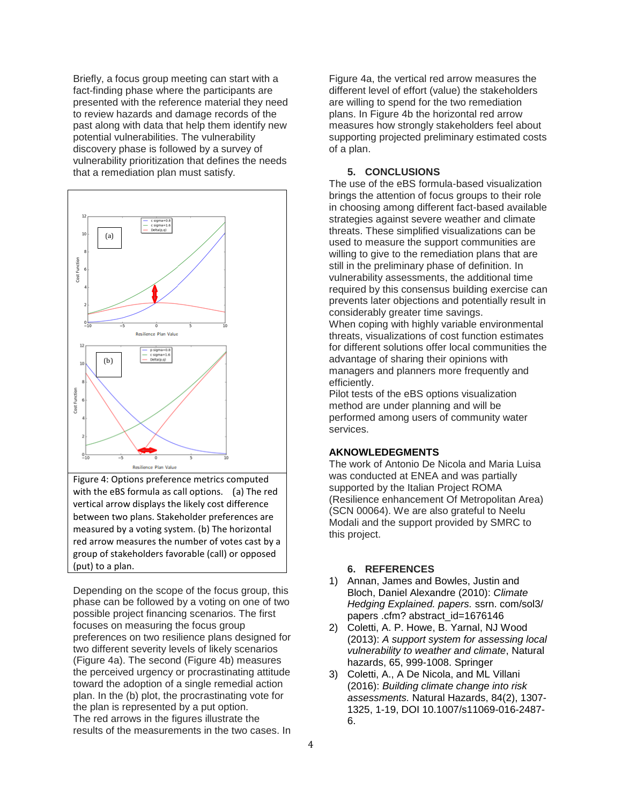Briefly, a focus group meeting can start with a fact-finding phase where the participants are presented with the reference material they need to review hazards and damage records of the past along with data that help them identify new potential vulnerabilities. The vulnerability discovery phase is followed by a survey of vulnerability prioritization that defines the needs that a remediation plan must satisfy.



<span id="page-3-0"></span>Figure 4: Options preference metrics computed with the eBS formula as call options. (a) The red vertical arrow displays the likely cost difference between two plans. Stakeholder preferences are measured by a voting system. (b) The horizontal red arrow measures the number of votes cast by a group of stakeholders favorable (call) or opposed (put) to a plan.

Depending on the scope of the focus group, this phase can be followed by a voting on one of two possible project financing scenarios. The first focuses on measuring the focus group preferences on two resilience plans designed for two different severity levels of likely scenarios [\(Figure 4a](#page-3-0)). The second [\(Figure 4b](#page-3-0)) measures the perceived urgency or procrastinating attitude toward the adoption of a single remedial action plan. In the (b) plot, the procrastinating vote for the plan is represented by a put option. The red arrows in the figures illustrate the results of the measurements in the two cases. In

[Figure 4a](#page-3-0), the vertical red arrow measures the different level of effort (value) the stakeholders are willing to spend for the two remediation plans. In [Figure 4b](#page-3-0) the horizontal red arrow measures how strongly stakeholders feel about supporting projected preliminary estimated costs of a plan.

#### **5. CONCLUSIONS**

The use of the eBS formula-based visualization brings the attention of focus groups to their role in choosing among different fact-based available strategies against severe weather and climate threats. These simplified visualizations can be used to measure the support communities are willing to give to the remediation plans that are still in the preliminary phase of definition. In vulnerability assessments, the additional time required by this consensus building exercise can prevents later objections and potentially result in considerably greater time savings.

When coping with highly variable environmental threats, visualizations of cost function estimates for different solutions offer local communities the advantage of sharing their opinions with managers and planners more frequently and efficiently.

Pilot tests of the eBS options visualization method are under planning and will be performed among users of community water services.

# **AKNOWLEDEGMENTS**

The work of Antonio De Nicola and Maria Luisa was conducted at ENEA and was partially supported by the Italian Project ROMA (Resilience enhancement Of Metropolitan Area) (SCN 00064). We are also grateful to Neelu Modali and the support provided by SMRC to this project.

# **6. REFERENCES**

- 1) Annan, James and Bowles, Justin and Bloch, Daniel Alexandre (2010): *Climate Hedging Explained. papers.* ssrn. com/sol3/ papers .cfm? abstract\_id=1676146
- 2) Coletti, A. P. Howe, B. Yarnal, NJ Wood (2013): *A support system for assessing local vulnerability to weather and climate*, Natural hazards, 65, 999-1008. Springer
- 3) Coletti, A., A De Nicola, and ML Villani (2016): *Building climate change into risk assessments.* Natural Hazards, 84(2), 1307- 1325, 1-19, DOI 10.1007/s11069-016-2487- 6.